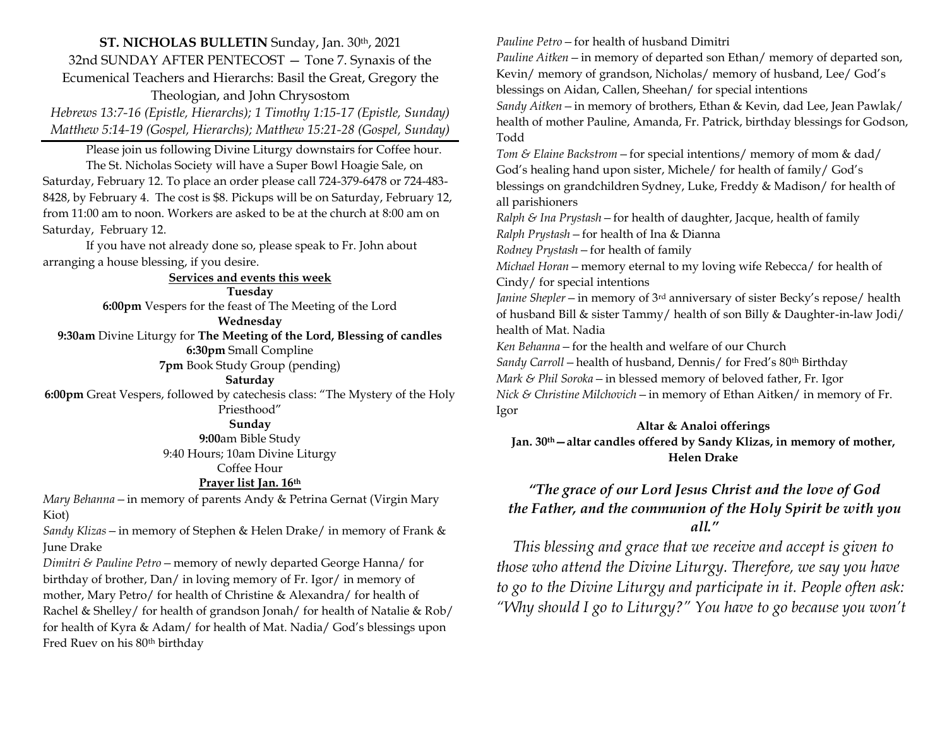**ST. NICHOLAS BULLETIN** Sunday, Jan. 30th, 2021 32nd SUNDAY AFTER PENTECOST — Tone 7. Synaxis of the Ecumenical Teachers and Hierarchs: Basil the Great, Gregory the Theologian, and John Chrysostom

*Hebrews 13:7-16 (Epistle, Hierarchs); 1 Timothy 1:15-17 (Epistle, Sunday) Matthew 5:14-19 (Gospel, Hierarchs); Matthew 15:21-28 (Gospel, Sunday)*

Please join us following Divine Liturgy downstairs for Coffee hour. The St. Nicholas Society will have a Super Bowl Hoagie Sale, on Saturday, February 12. To place an order please call 724-379-6478 or 724-483- 8428, by February 4. The cost is \$8. Pickups will be on Saturday, February 12, from 11:00 am to noon. Workers are asked to be at the church at 8:00 am on Saturday, February 12.

If you have not already done so, please speak to Fr. John about arranging a house blessing, if you desire.

#### **Services and events this week Tuesday**

**6:00pm** Vespers for the feast of The Meeting of the Lord

**Wednesday**

**9:30am** Divine Liturgy for **The Meeting of the Lord, Blessing of candles**

**6:30pm** Small Compline

**7pm** Book Study Group (pending)

#### **Saturday**

**6:00pm** Great Vespers, followed by catechesis class: "The Mystery of the Holy Priesthood"

### **Sunday**

**9:00**am Bible Study

9:40 Hours; 10am Divine Liturgy

Coffee Hour

## **Prayer list Jan. 16th**

*Mary Behanna—*in memory of parents Andy & Petrina Gernat (Virgin Mary Kiot)

*Sandy Klizas—*in memory of Stephen & Helen Drake/ in memory of Frank & June Drake

*Dimitri & Pauline Petro—*memory of newly departed George Hanna/ for birthday of brother, Dan/ in loving memory of Fr. Igor/ in memory of mother, Mary Petro/ for health of Christine & Alexandra/ for health of Rachel & Shelley/ for health of grandson Jonah/ for health of Natalie & Rob/ for health of Kyra & Adam/ for health of Mat. Nadia/ God's blessings upon Fred Ruev on his 80th birthday

*Pauline Petro—*for health of husband Dimitri

*Pauline Aitken—*in memory of departed son Ethan/ memory of departed son, Kevin/ memory of grandson, Nicholas/ memory of husband, Lee/ God's blessings on Aidan, Callen, Sheehan/ for special intentions

*Sandy Aitken—*in memory of brothers, Ethan & Kevin, dad Lee, Jean Pawlak/ health of mother Pauline, Amanda, Fr. Patrick, birthday blessings for Godson, Todd

*Tom & Elaine Backstrom—*for special intentions/ memory of mom & dad/ God's healing hand upon sister, Michele/ for health of family/ God's blessings on grandchildren Sydney, Luke, Freddy & Madison/ for health of all parishioners

*Ralph & Ina Prystash—*for health of daughter, Jacque, health of family *Ralph Prystash—*for health of Ina & Dianna

*Rodney Prystash—*for health of family

*Michael Horan—*memory eternal to my loving wife Rebecca/ for health of Cindy/ for special intentions

*Janine Shepler—*in memory of 3rd anniversary of sister Becky's repose/ health of husband Bill & sister Tammy/ health of son Billy & Daughter-in-law Jodi/ health of Mat. Nadia

*Ken Behanna—*for the health and welfare of our Church

*Sandy Carroll* – health of husband, Dennis/ for Fred's 80<sup>th</sup> Birthday

*Mark & Phil Soroka—*in blessed memory of beloved father, Fr. Igor

*Nick & Christine Milchovich—*in memory of Ethan Aitken/ in memory of Fr. Igor

## **Altar & Analoi offerings**

**Jan. 30th—altar candles offered by Sandy Klizas, in memory of mother, Helen Drake**

## *"The grace of our Lord Jesus Christ and the love of God the Father, and the communion of the Holy Spirit be with you all."*

 *This blessing and grace that we receive and accept is given to those who attend the Divine Liturgy. Therefore, we say you have to go to the Divine Liturgy and participate in it. People often ask: "Why should I go to Liturgy?" You have to go because you won't*